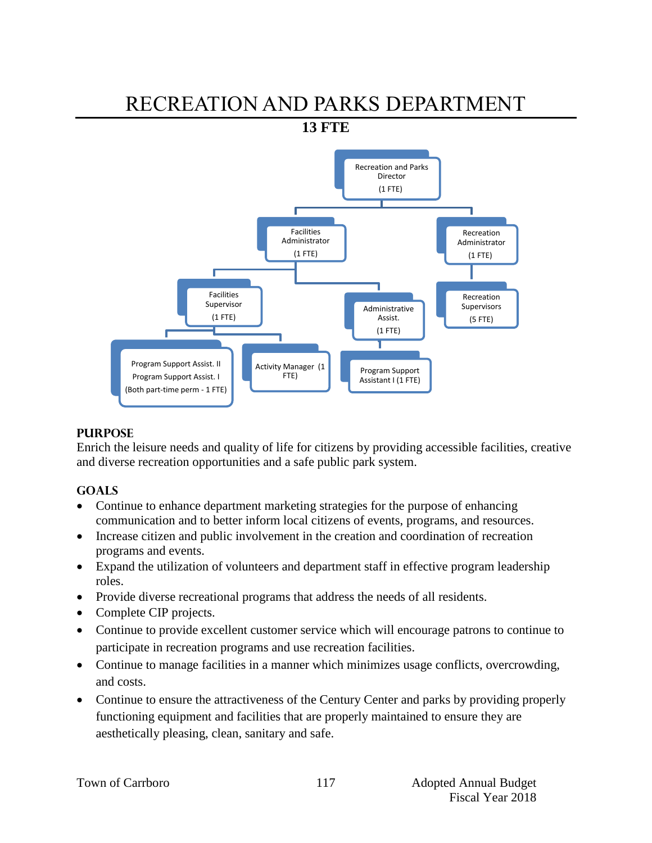# RECREATION AND PARKS DEPARTMENT

**13 FTE** 



# **PURPOSE**

Enrich the leisure needs and quality of life for citizens by providing accessible facilities, creative and diverse recreation opportunities and a safe public park system.

# **GOALS**

- Continue to enhance department marketing strategies for the purpose of enhancing communication and to better inform local citizens of events, programs, and resources.
- Increase citizen and public involvement in the creation and coordination of recreation programs and events.
- Expand the utilization of volunteers and department staff in effective program leadership roles.
- Provide diverse recreational programs that address the needs of all residents.
- Complete CIP projects.
- Continue to provide excellent customer service which will encourage patrons to continue to participate in recreation programs and use recreation facilities.
- Continue to manage facilities in a manner which minimizes usage conflicts, overcrowding, and costs.
- Continue to ensure the attractiveness of the Century Center and parks by providing properly functioning equipment and facilities that are properly maintained to ensure they are aesthetically pleasing, clean, sanitary and safe.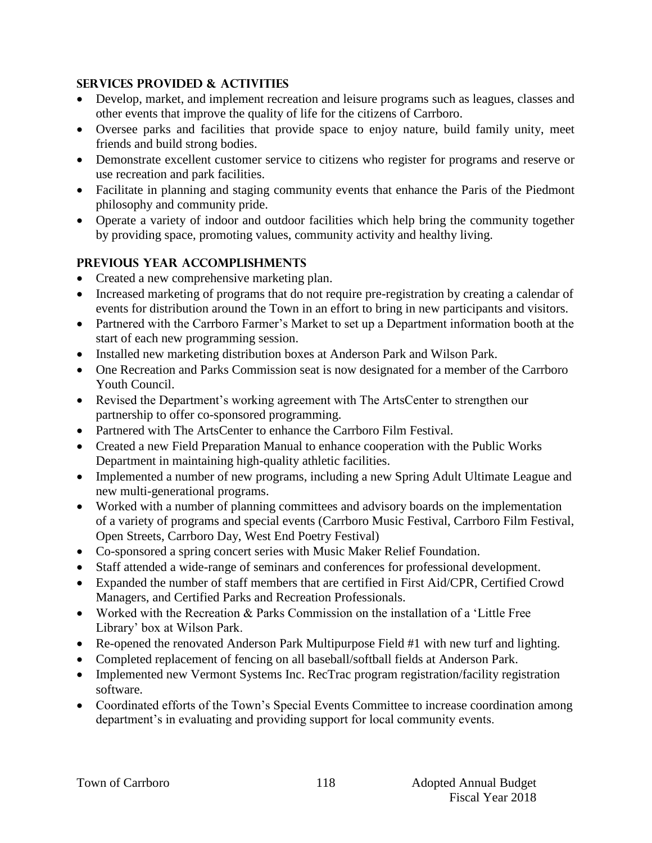# **SERVICES PROVIDED & ACTIVITIES**

- Develop, market, and implement recreation and leisure programs such as leagues, classes and other events that improve the quality of life for the citizens of Carrboro.
- Oversee parks and facilities that provide space to enjoy nature, build family unity, meet friends and build strong bodies.
- Demonstrate excellent customer service to citizens who register for programs and reserve or use recreation and park facilities.
- Facilitate in planning and staging community events that enhance the Paris of the Piedmont philosophy and community pride.
- Operate a variety of indoor and outdoor facilities which help bring the community together by providing space, promoting values, community activity and healthy living.

# **PREVIOUS YEAR ACCOMPLISHMENTS**

- Created a new comprehensive marketing plan.
- Increased marketing of programs that do not require pre-registration by creating a calendar of events for distribution around the Town in an effort to bring in new participants and visitors.
- Partnered with the Carrboro Farmer's Market to set up a Department information booth at the start of each new programming session.
- Installed new marketing distribution boxes at Anderson Park and Wilson Park.
- One Recreation and Parks Commission seat is now designated for a member of the Carrboro Youth Council.
- Revised the Department's working agreement with The ArtsCenter to strengthen our partnership to offer co-sponsored programming.
- Partnered with The ArtsCenter to enhance the Carrboro Film Festival.
- Created a new Field Preparation Manual to enhance cooperation with the Public Works Department in maintaining high-quality athletic facilities.
- Implemented a number of new programs, including a new Spring Adult Ultimate League and new multi-generational programs.
- Worked with a number of planning committees and advisory boards on the implementation of a variety of programs and special events (Carrboro Music Festival, Carrboro Film Festival, Open Streets, Carrboro Day, West End Poetry Festival)
- Co-sponsored a spring concert series with Music Maker Relief Foundation.
- Staff attended a wide-range of seminars and conferences for professional development.
- Expanded the number of staff members that are certified in First Aid/CPR, Certified Crowd Managers, and Certified Parks and Recreation Professionals.
- Worked with the Recreation & Parks Commission on the installation of a 'Little Free Library' box at Wilson Park.
- Re-opened the renovated Anderson Park Multipurpose Field #1 with new turf and lighting.
- Completed replacement of fencing on all baseball/softball fields at Anderson Park.
- Implemented new Vermont Systems Inc. RecTrac program registration/facility registration software.
- Coordinated efforts of the Town's Special Events Committee to increase coordination among department's in evaluating and providing support for local community events.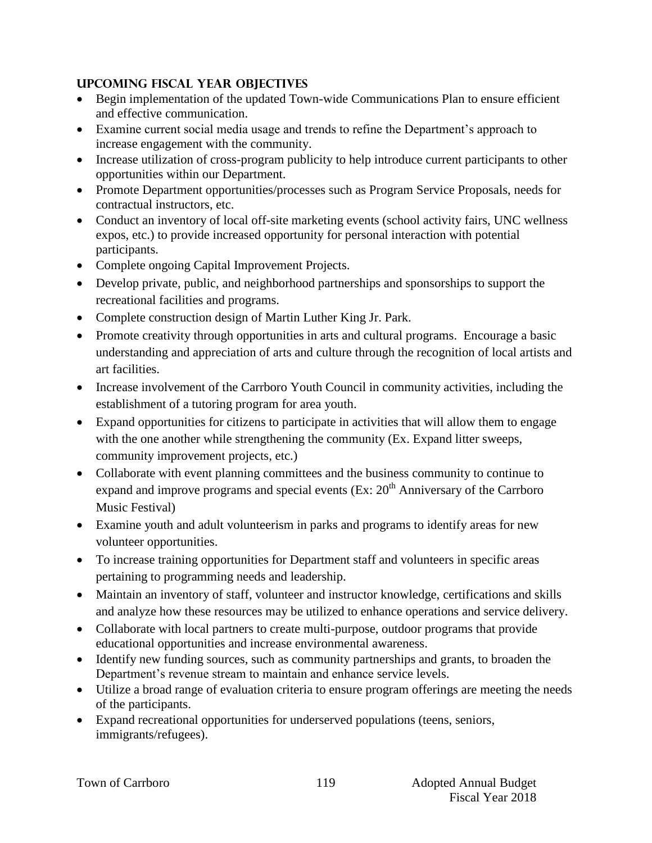# **UPCOMING FISCAL YEAR OBJECTIVES**

- Begin implementation of the updated Town-wide Communications Plan to ensure efficient and effective communication.
- Examine current social media usage and trends to refine the Department's approach to increase engagement with the community.
- Increase utilization of cross-program publicity to help introduce current participants to other opportunities within our Department.
- Promote Department opportunities/processes such as Program Service Proposals, needs for contractual instructors, etc.
- Conduct an inventory of local off-site marketing events (school activity fairs, UNC wellness expos, etc.) to provide increased opportunity for personal interaction with potential participants.
- Complete ongoing Capital Improvement Projects.
- Develop private, public, and neighborhood partnerships and sponsorships to support the recreational facilities and programs.
- Complete construction design of Martin Luther King Jr. Park.
- Promote creativity through opportunities in arts and cultural programs. Encourage a basic understanding and appreciation of arts and culture through the recognition of local artists and art facilities.
- Increase involvement of the Carrboro Youth Council in community activities, including the establishment of a tutoring program for area youth.
- Expand opportunities for citizens to participate in activities that will allow them to engage with the one another while strengthening the community (Ex. Expand litter sweeps, community improvement projects, etc.)
- Collaborate with event planning committees and the business community to continue to expand and improve programs and special events  $(Ex: 20<sup>th</sup>$  Anniversary of the Carrboro Music Festival)
- Examine youth and adult volunteerism in parks and programs to identify areas for new volunteer opportunities.
- To increase training opportunities for Department staff and volunteers in specific areas pertaining to programming needs and leadership.
- Maintain an inventory of staff, volunteer and instructor knowledge, certifications and skills and analyze how these resources may be utilized to enhance operations and service delivery.
- Collaborate with local partners to create multi-purpose, outdoor programs that provide educational opportunities and increase environmental awareness.
- Identify new funding sources, such as community partnerships and grants, to broaden the Department's revenue stream to maintain and enhance service levels.
- Utilize a broad range of evaluation criteria to ensure program offerings are meeting the needs of the participants.
- Expand recreational opportunities for underserved populations (teens, seniors, immigrants/refugees).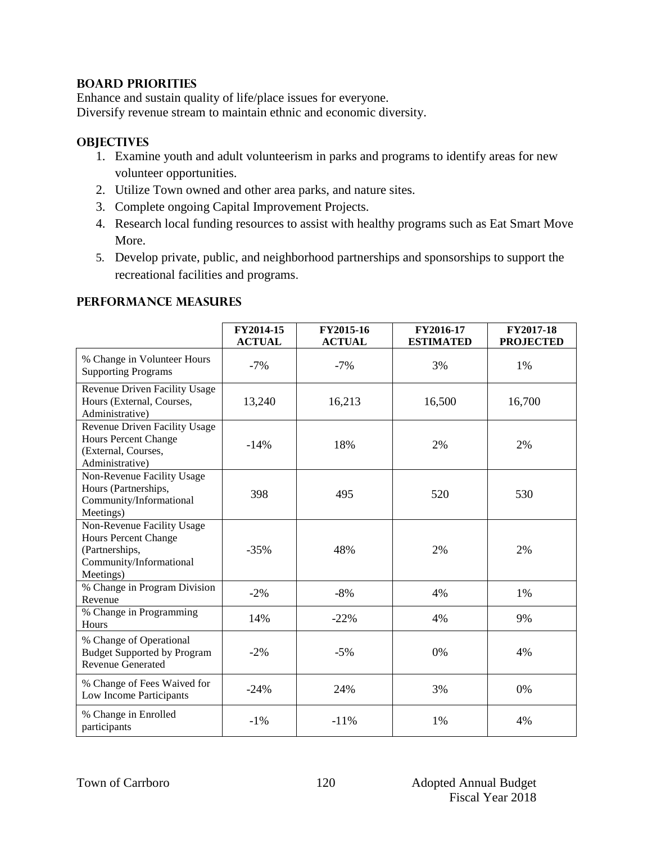# **BOARD PRIORITIES**

Enhance and sustain quality of life/place issues for everyone. Diversify revenue stream to maintain ethnic and economic diversity.

# **OBJECTIVES**

- 1. Examine youth and adult volunteerism in parks and programs to identify areas for new volunteer opportunities.
- 2. Utilize Town owned and other area parks, and nature sites.
- 3. Complete ongoing Capital Improvement Projects.
- 4. Research local funding resources to assist with healthy programs such as Eat Smart Move More.
- 5. Develop private, public, and neighborhood partnerships and sponsorships to support the recreational facilities and programs.

## **Performance Measures**

|                                                                                                                     | FY2014-15<br><b>ACTUAL</b> | FY2015-16<br><b>ACTUAL</b> | FY2016-17<br><b>ESTIMATED</b> | FY2017-18<br><b>PROJECTED</b> |
|---------------------------------------------------------------------------------------------------------------------|----------------------------|----------------------------|-------------------------------|-------------------------------|
| % Change in Volunteer Hours<br><b>Supporting Programs</b>                                                           | $-7\%$                     | $-7%$                      | 3%                            | 1%                            |
| Revenue Driven Facility Usage<br>Hours (External, Courses,<br>Administrative)                                       | 13,240                     | 16,213                     | 16,500                        | 16,700                        |
| Revenue Driven Facility Usage<br><b>Hours Percent Change</b><br>(External, Courses,<br>Administrative)              | $-14%$                     | 18%                        | 2%                            | 2%                            |
| Non-Revenue Facility Usage<br>Hours (Partnerships,<br>Community/Informational<br>Meetings)                          | 398                        | 495                        | 520                           | 530                           |
| Non-Revenue Facility Usage<br><b>Hours Percent Change</b><br>(Partnerships,<br>Community/Informational<br>Meetings) | $-35%$                     | 48%                        | 2%                            | 2%                            |
| % Change in Program Division<br>Revenue                                                                             | $-2\%$                     | $-8%$                      | 4%                            | 1%                            |
| % Change in Programming<br>Hours                                                                                    | 14%                        | $-22%$                     | 4%                            | 9%                            |
| % Change of Operational<br><b>Budget Supported by Program</b><br><b>Revenue Generated</b>                           | $-2\%$                     | $-5%$                      | 0%                            | 4%                            |
| % Change of Fees Waived for<br>Low Income Participants                                                              | $-24%$                     | 24%                        | 3%                            | 0%                            |
| % Change in Enrolled<br>participants                                                                                | $-1\%$                     | $-11%$                     | 1%                            | 4%                            |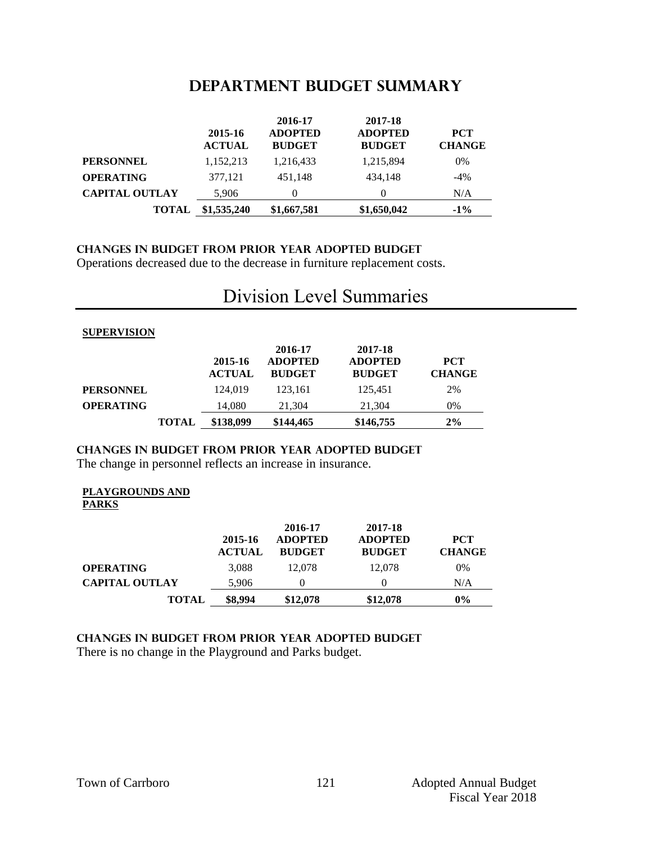# **DEPARTMENT BUDGET summary**

|                       | 2015-16<br><b>ACTUAL</b> | 2016-17<br><b>ADOPTED</b><br><b>BUDGET</b> | 2017-18<br><b>ADOPTED</b><br><b>BUDGET</b> | <b>PCT</b><br><b>CHANGE</b> |
|-----------------------|--------------------------|--------------------------------------------|--------------------------------------------|-----------------------------|
| <b>PERSONNEL</b>      | 1,152,213                | 1,216,433                                  | 1,215,894                                  | 0%                          |
| <b>OPERATING</b>      | 377,121                  | 451.148                                    | 434.148                                    | $-4\%$                      |
| <b>CAPITAL OUTLAY</b> | 5,906                    | $\theta$                                   |                                            | N/A                         |
| <b>TOTAL</b>          | \$1,535,240              | \$1,667,581                                | \$1,650,042                                | $-1\%$                      |

#### **CHANGES IN BUDGET from PRIOR YEAR ADOPTED BUDGET** Operations decreased due to the decrease in furniture replacement costs.

#### **SUPERVISION 2015-16 ACTUAL 2016-17 ADOPTED BUDGET 2017-18 ADOPTED BUDGET PCT CHANGE PERSONNEL** 124,019 123,161 125,451 2% **OPERATING** 14,080 21,304 21,304 0% **TOTAL \$138,099 \$144,465 \$146,755 2%**

# Division Level Summaries

# **changes in budget from prior year adopted budget**

The change in personnel reflects an increase in insurance.

#### **PLAYGROUNDS AND PARKS**

|                       | 2015-16<br><b>ACTUAL</b> | 2016-17<br><b>ADOPTED</b><br><b>BUDGET</b> | 2017-18<br><b>ADOPTED</b><br><b>BUDGET</b> | <b>PCT</b><br><b>CHANGE</b> |
|-----------------------|--------------------------|--------------------------------------------|--------------------------------------------|-----------------------------|
| <b>OPERATING</b>      | 3.088                    | 12.078                                     | 12,078                                     | 0%                          |
| <b>CAPITAL OUTLAY</b> | 5.906                    | 0                                          |                                            | N/A                         |
| <b>TOTAL</b>          | \$8,994                  | \$12,078                                   | \$12,078                                   | $0\%$                       |

#### **changes in budget from prior year adopted budget** There is no change in the Playground and Parks budget.